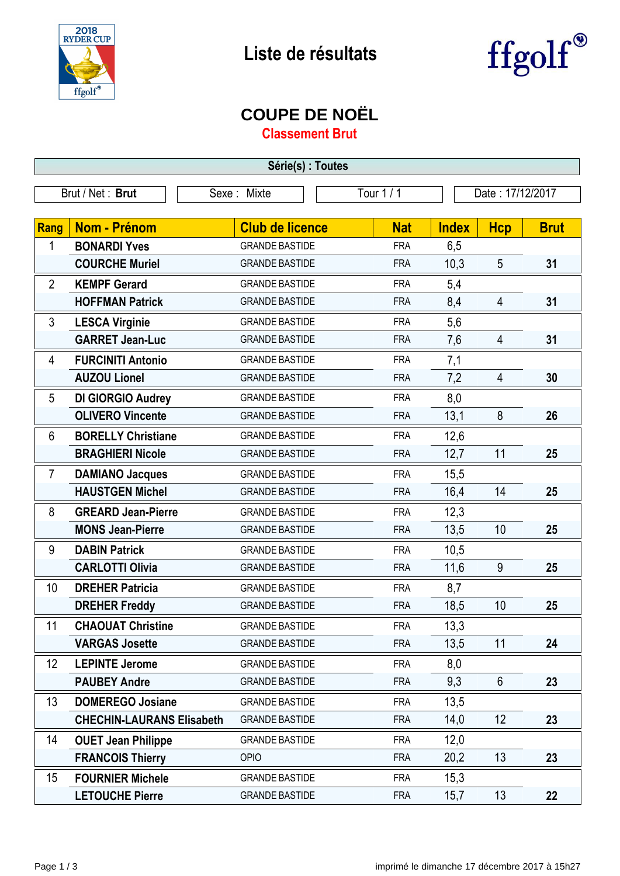



## **COUPE DE NOËL**

**Classement Brut**

| Série(s) : Toutes |                                  |                        |            |                  |                |             |
|-------------------|----------------------------------|------------------------|------------|------------------|----------------|-------------|
|                   | Brut / Net: Brut                 | Sexe: Mixte            | Tour 1 / 1 | Date: 17/12/2017 |                |             |
|                   |                                  |                        |            |                  |                |             |
| Rang              | <b>Nom - Prénom</b>              | <b>Club de licence</b> | <b>Nat</b> | <b>Index</b>     | <b>Hcp</b>     | <b>Brut</b> |
| 1                 | <b>BONARDI Yves</b>              | <b>GRANDE BASTIDE</b>  | <b>FRA</b> | 6,5              |                |             |
|                   | <b>COURCHE Muriel</b>            | <b>GRANDE BASTIDE</b>  | <b>FRA</b> | 10,3             | 5              | 31          |
| $\overline{2}$    | <b>KEMPF Gerard</b>              | <b>GRANDE BASTIDE</b>  | <b>FRA</b> | 5,4              |                |             |
|                   | <b>HOFFMAN Patrick</b>           | <b>GRANDE BASTIDE</b>  | <b>FRA</b> | 8,4              | $\overline{4}$ | 31          |
| 3                 | <b>LESCA Virginie</b>            | <b>GRANDE BASTIDE</b>  | <b>FRA</b> | 5,6              |                |             |
|                   | <b>GARRET Jean-Luc</b>           | <b>GRANDE BASTIDE</b>  | <b>FRA</b> | 7,6              | 4              | 31          |
| 4                 | <b>FURCINITI Antonio</b>         | <b>GRANDE BASTIDE</b>  | <b>FRA</b> | 7,1              |                |             |
|                   | <b>AUZOU Lionel</b>              | <b>GRANDE BASTIDE</b>  | <b>FRA</b> | 7,2              | 4              | 30          |
| 5                 | DI GIORGIO Audrey                | <b>GRANDE BASTIDE</b>  | <b>FRA</b> | 8,0              |                |             |
|                   | <b>OLIVERO Vincente</b>          | <b>GRANDE BASTIDE</b>  | <b>FRA</b> | 13,1             | 8              | 26          |
| 6                 | <b>BORELLY Christiane</b>        | <b>GRANDE BASTIDE</b>  | <b>FRA</b> | 12,6             |                |             |
|                   | <b>BRAGHIERI Nicole</b>          | <b>GRANDE BASTIDE</b>  | <b>FRA</b> | 12,7             | 11             | 25          |
| $\overline{7}$    | <b>DAMIANO Jacques</b>           | <b>GRANDE BASTIDE</b>  | <b>FRA</b> | 15,5             |                |             |
|                   | <b>HAUSTGEN Michel</b>           | <b>GRANDE BASTIDE</b>  | <b>FRA</b> | 16,4             | 14             | 25          |
| 8                 | <b>GREARD Jean-Pierre</b>        | <b>GRANDE BASTIDE</b>  | <b>FRA</b> | 12,3             |                |             |
|                   | <b>MONS Jean-Pierre</b>          | <b>GRANDE BASTIDE</b>  | <b>FRA</b> | 13,5             | 10             | 25          |
| 9                 | <b>DABIN Patrick</b>             | <b>GRANDE BASTIDE</b>  | <b>FRA</b> | 10,5             |                |             |
|                   | <b>CARLOTTI Olivia</b>           | <b>GRANDE BASTIDE</b>  | <b>FRA</b> | 11,6             | 9              | 25          |
| 10                | <b>DREHER Patricia</b>           | <b>GRANDE BASTIDE</b>  | <b>FRA</b> | 8,7              |                |             |
|                   | <b>DREHER Freddy</b>             | <b>GRANDE BASTIDE</b>  | <b>FRA</b> | 18,5             | 10             | 25          |
| $11 -$            | <b>CHAOUAT Christine</b>         | <b>GRANDE BASTIDE</b>  | <b>FRA</b> | 13,3             |                |             |
|                   | <b>VARGAS Josette</b>            | <b>GRANDE BASTIDE</b>  | <b>FRA</b> | 13,5             | 11             | 24          |
| 12                | <b>LEPINTE Jerome</b>            | <b>GRANDE BASTIDE</b>  | <b>FRA</b> | 8,0              |                |             |
|                   | <b>PAUBEY Andre</b>              | <b>GRANDE BASTIDE</b>  | <b>FRA</b> | 9,3              | $6\phantom{1}$ | 23          |
| 13                | <b>DOMEREGO Josiane</b>          | <b>GRANDE BASTIDE</b>  | <b>FRA</b> | 13,5             |                |             |
|                   | <b>CHECHIN-LAURANS Elisabeth</b> | <b>GRANDE BASTIDE</b>  | <b>FRA</b> | 14,0             | 12             | 23          |
| 14                | <b>OUET Jean Philippe</b>        | <b>GRANDE BASTIDE</b>  | <b>FRA</b> | 12,0             |                |             |
|                   | <b>FRANCOIS Thierry</b>          | <b>OPIO</b>            | <b>FRA</b> | 20,2             | 13             | 23          |
| 15                | <b>FOURNIER Michele</b>          | <b>GRANDE BASTIDE</b>  | <b>FRA</b> | 15,3             |                |             |
|                   | <b>LETOUCHE Pierre</b>           | <b>GRANDE BASTIDE</b>  | <b>FRA</b> | 15,7             | 13             | 22          |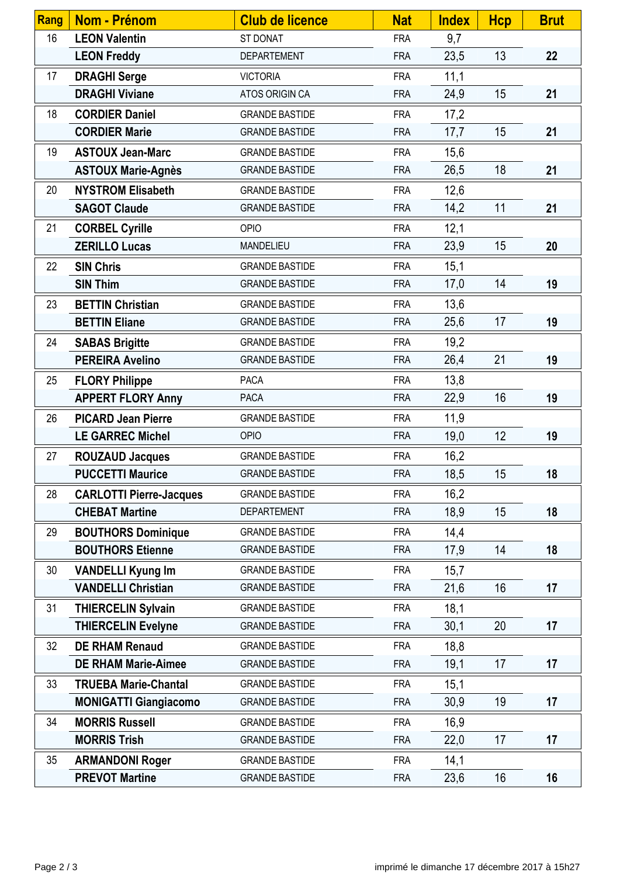| <b>Rang</b> | <b>Nom - Prénom</b>            | <b>Club de licence</b> | <b>Nat</b> | <b>Index</b> | <b>Hcp</b> | <b>Brut</b> |
|-------------|--------------------------------|------------------------|------------|--------------|------------|-------------|
| 16          | <b>LEON Valentin</b>           | ST DONAT               | <b>FRA</b> | 9,7          |            |             |
|             | <b>LEON Freddy</b>             | <b>DEPARTEMENT</b>     | <b>FRA</b> | 23,5         | 13         | 22          |
| 17          | <b>DRAGHI Serge</b>            | <b>VICTORIA</b>        | <b>FRA</b> | 11,1         |            |             |
|             | <b>DRAGHI Viviane</b>          | ATOS ORIGIN CA         | <b>FRA</b> | 24,9         | 15         | 21          |
| 18          | <b>CORDIER Daniel</b>          | <b>GRANDE BASTIDE</b>  | <b>FRA</b> | 17,2         |            |             |
|             | <b>CORDIER Marie</b>           | <b>GRANDE BASTIDE</b>  | <b>FRA</b> | 17,7         | 15         | 21          |
| 19          | <b>ASTOUX Jean-Marc</b>        | <b>GRANDE BASTIDE</b>  | <b>FRA</b> | 15,6         |            |             |
|             | <b>ASTOUX Marie-Agnès</b>      | <b>GRANDE BASTIDE</b>  | <b>FRA</b> | 26,5         | 18         | 21          |
| 20          | <b>NYSTROM Elisabeth</b>       | <b>GRANDE BASTIDE</b>  | <b>FRA</b> | 12,6         |            |             |
|             | <b>SAGOT Claude</b>            | <b>GRANDE BASTIDE</b>  | <b>FRA</b> | 14,2         | 11         | 21          |
| 21          | <b>CORBEL Cyrille</b>          | <b>OPIO</b>            | <b>FRA</b> | 12,1         |            |             |
|             | <b>ZERILLO Lucas</b>           | MANDELIEU              | <b>FRA</b> | 23,9         | 15         | 20          |
| 22          | <b>SIN Chris</b>               | <b>GRANDE BASTIDE</b>  | <b>FRA</b> | 15,1         |            |             |
|             | <b>SIN Thim</b>                | <b>GRANDE BASTIDE</b>  | <b>FRA</b> | 17,0         | 14         | 19          |
| 23          | <b>BETTIN Christian</b>        | <b>GRANDE BASTIDE</b>  | <b>FRA</b> | 13,6         |            |             |
|             | <b>BETTIN Eliane</b>           | <b>GRANDE BASTIDE</b>  | <b>FRA</b> | 25,6         | 17         | 19          |
| 24          | <b>SABAS Brigitte</b>          | <b>GRANDE BASTIDE</b>  | <b>FRA</b> | 19,2         |            |             |
|             | <b>PEREIRA Avelino</b>         | <b>GRANDE BASTIDE</b>  | <b>FRA</b> | 26,4         | 21         | 19          |
| 25          | <b>FLORY Philippe</b>          | <b>PACA</b>            | <b>FRA</b> | 13,8         |            |             |
|             | <b>APPERT FLORY Anny</b>       | <b>PACA</b>            | <b>FRA</b> | 22,9         | 16         | 19          |
| 26          | <b>PICARD Jean Pierre</b>      | <b>GRANDE BASTIDE</b>  | <b>FRA</b> | 11,9         |            |             |
|             | <b>LE GARREC Michel</b>        | <b>OPIO</b>            | <b>FRA</b> | 19,0         | 12         | 19          |
| 27          | <b>ROUZAUD Jacques</b>         | <b>GRANDE BASTIDE</b>  | <b>FRA</b> | 16,2         |            |             |
|             | <b>PUCCETTI Maurice</b>        | <b>GRANDE BASTIDE</b>  | <b>FRA</b> | 18,5         | 15         | 18          |
| 28          | <b>CARLOTTI Pierre-Jacques</b> | <b>GRANDE BASTIDE</b>  | <b>FRA</b> | 16,2         |            |             |
|             | <b>CHEBAT Martine</b>          | <b>DEPARTEMENT</b>     | <b>FRA</b> | 18,9         | 15         | 18          |
| 29          | <b>BOUTHORS Dominique</b>      | <b>GRANDE BASTIDE</b>  | <b>FRA</b> | 14,4         |            |             |
|             | <b>BOUTHORS Etienne</b>        | <b>GRANDE BASTIDE</b>  | <b>FRA</b> | 17,9         | 14         | 18          |
| 30          | <b>VANDELLI Kyung Im</b>       | <b>GRANDE BASTIDE</b>  | <b>FRA</b> | 15,7         |            |             |
|             | <b>VANDELLI Christian</b>      | <b>GRANDE BASTIDE</b>  | <b>FRA</b> | 21,6         | 16         | 17          |
| 31          | <b>THIERCELIN Sylvain</b>      | <b>GRANDE BASTIDE</b>  | <b>FRA</b> | 18,1         |            |             |
|             | <b>THIERCELIN Evelyne</b>      | <b>GRANDE BASTIDE</b>  | <b>FRA</b> | 30,1         | 20         | 17          |
| 32          | <b>DE RHAM Renaud</b>          | <b>GRANDE BASTIDE</b>  | <b>FRA</b> | 18,8         |            |             |
|             | <b>DE RHAM Marie-Aimee</b>     | <b>GRANDE BASTIDE</b>  | <b>FRA</b> | 19,1         | 17         | 17          |
| 33          | <b>TRUEBA Marie-Chantal</b>    | <b>GRANDE BASTIDE</b>  | <b>FRA</b> | 15,1         |            |             |
|             | <b>MONIGATTI Giangiacomo</b>   | <b>GRANDE BASTIDE</b>  | <b>FRA</b> | 30,9         | 19         | 17          |
| 34          | <b>MORRIS Russell</b>          | <b>GRANDE BASTIDE</b>  | <b>FRA</b> | 16,9         |            |             |
|             | <b>MORRIS Trish</b>            | <b>GRANDE BASTIDE</b>  | <b>FRA</b> | 22,0         | 17         | 17          |
| 35          | <b>ARMANDONI Roger</b>         | <b>GRANDE BASTIDE</b>  | <b>FRA</b> | 14,1         |            |             |
|             | <b>PREVOT Martine</b>          | <b>GRANDE BASTIDE</b>  | <b>FRA</b> | 23,6         | 16         | 16          |